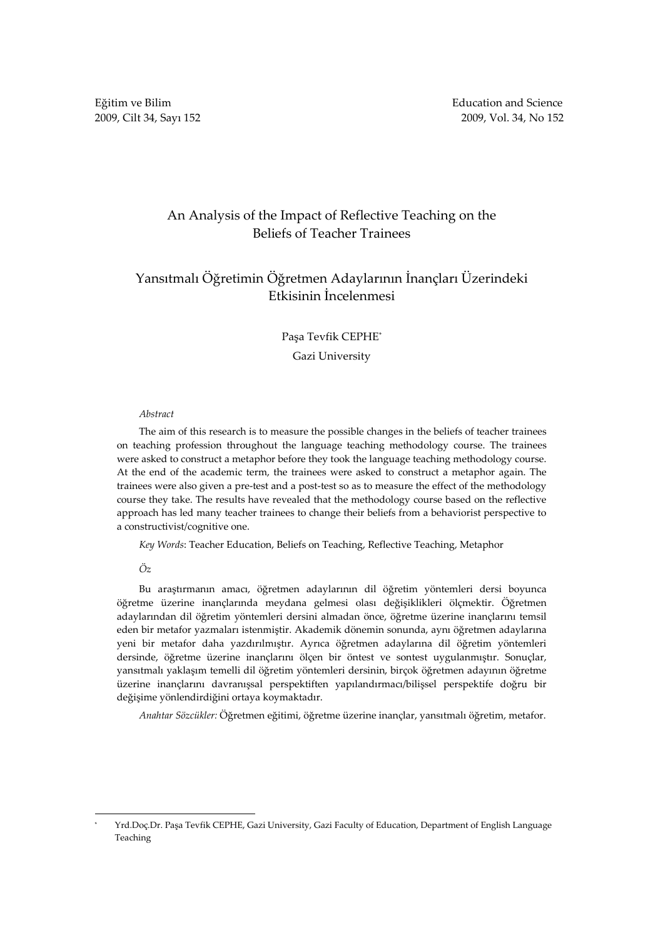Eğitim ve Bilim **Education** and Science

## An Analysis of the Impact of Reflective Teaching on the Beliefs of Teacher Trainees

# Yansıtmalı Öğretimin Öğretmen Adaylarının İnançları Üzerindeki Etkisinin İncelenmesi

### Paşa Tevfik CEPHE\*

Gazi University

### Abstract

The aim of this research is to measure the possible changes in the beliefs of teacher trainees on teaching profession throughout the language teaching methodology course. The trainees were asked to construct a metaphor before they took the language teaching methodology course. At the end of the academic term, the trainees were asked to construct a metaphor again. The trainees were also given a pre-test and a post-test so as to measure the effect of the methodology course they take. The results have revealed that the methodology course based on the reflective approach has led many teacher trainees to change their beliefs from a behaviorist perspective to a constructivist/cognitive one.

Key Words: Teacher Education, Beliefs on Teaching, Reflective Teaching, Metaphor

Öz

L

Bu araştırmanın amacı, öğretmen adaylarının dil öğretim yöntemleri dersi boyunca öğretme üzerine inançlarında meydana gelmesi olası değişiklikleri ölçmektir. Öğretmen adaylarından dil öğretim yöntemleri dersini almadan önce, öğretme üzerine inançlarını temsil eden bir metafor yazmaları istenmiştir. Akademik dönemin sonunda, aynı öğretmen adaylarına yeni bir metafor daha yazdırılmıştır. Ayrıca öğretmen adaylarına dil öğretim yöntemleri dersinde, öğretme üzerine inançlarını ölçen bir öntest ve sontest uygulanmıştır. Sonuçlar, yansıtmalı yaklaşım temelli dil öğretim yöntemleri dersinin, birçok öğretmen adayının öğretme üzerine inançlarını davranışsal perspektiften yapılandırmacı/bilişsel perspektife doğru bir değişime yönlendirdiğini ortaya koymaktadır.

Anahtar Sözcükler: Öğretmen eğitimi, öğretme üzerine inançlar, yansıtmalı öğretim, metafor.

<sup>\*</sup> Yrd.Doç.Dr. Paşa Tevfik CEPHE, Gazi University, Gazi Faculty of Education, Department of English Language Teaching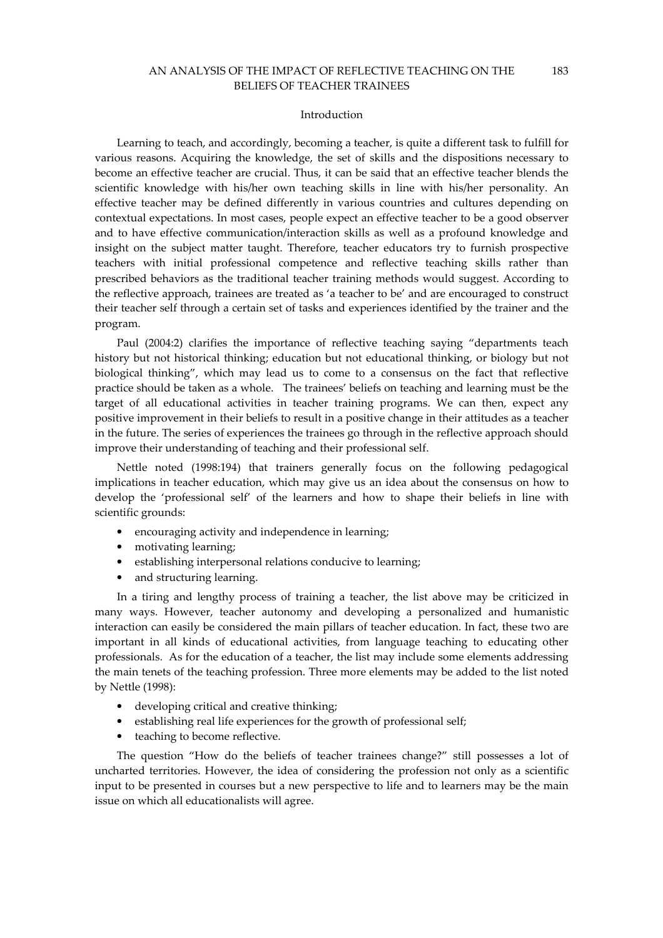#### Introduction

Learning to teach, and accordingly, becoming a teacher, is quite a different task to fulfill for various reasons. Acquiring the knowledge, the set of skills and the dispositions necessary to become an effective teacher are crucial. Thus, it can be said that an effective teacher blends the scientific knowledge with his/her own teaching skills in line with his/her personality. An effective teacher may be defined differently in various countries and cultures depending on contextual expectations. In most cases, people expect an effective teacher to be a good observer and to have effective communication/interaction skills as well as a profound knowledge and insight on the subject matter taught. Therefore, teacher educators try to furnish prospective teachers with initial professional competence and reflective teaching skills rather than prescribed behaviors as the traditional teacher training methods would suggest. According to the reflective approach, trainees are treated as 'a teacher to be' and are encouraged to construct their teacher self through a certain set of tasks and experiences identified by the trainer and the program.

Paul (2004:2) clarifies the importance of reflective teaching saying "departments teach history but not historical thinking; education but not educational thinking, or biology but not biological thinking", which may lead us to come to a consensus on the fact that reflective practice should be taken as a whole. The trainees' beliefs on teaching and learning must be the target of all educational activities in teacher training programs. We can then, expect any positive improvement in their beliefs to result in a positive change in their attitudes as a teacher in the future. The series of experiences the trainees go through in the reflective approach should improve their understanding of teaching and their professional self.

Nettle noted (1998:194) that trainers generally focus on the following pedagogical implications in teacher education, which may give us an idea about the consensus on how to develop the 'professional self' of the learners and how to shape their beliefs in line with scientific grounds:

- encouraging activity and independence in learning;
- motivating learning;
- establishing interpersonal relations conducive to learning;
- and structuring learning.

In a tiring and lengthy process of training a teacher, the list above may be criticized in many ways. However, teacher autonomy and developing a personalized and humanistic interaction can easily be considered the main pillars of teacher education. In fact, these two are important in all kinds of educational activities, from language teaching to educating other professionals. As for the education of a teacher, the list may include some elements addressing the main tenets of the teaching profession. Three more elements may be added to the list noted by Nettle (1998):

- developing critical and creative thinking;
- establishing real life experiences for the growth of professional self;
- teaching to become reflective.

The question "How do the beliefs of teacher trainees change?" still possesses a lot of uncharted territories. However, the idea of considering the profession not only as a scientific input to be presented in courses but a new perspective to life and to learners may be the main issue on which all educationalists will agree.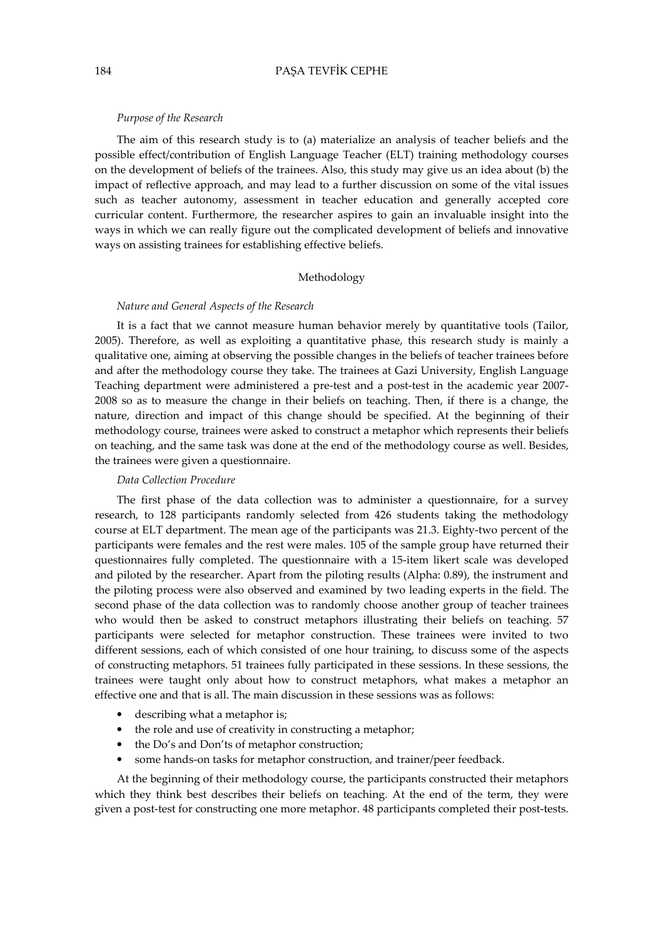#### Purpose of the Research

The aim of this research study is to (a) materialize an analysis of teacher beliefs and the possible effect/contribution of English Language Teacher (ELT) training methodology courses on the development of beliefs of the trainees. Also, this study may give us an idea about (b) the impact of reflective approach, and may lead to a further discussion on some of the vital issues such as teacher autonomy, assessment in teacher education and generally accepted core curricular content. Furthermore, the researcher aspires to gain an invaluable insight into the ways in which we can really figure out the complicated development of beliefs and innovative ways on assisting trainees for establishing effective beliefs.

#### Methodology

#### Nature and General Aspects of the Research

It is a fact that we cannot measure human behavior merely by quantitative tools (Tailor, 2005). Therefore, as well as exploiting a quantitative phase, this research study is mainly a qualitative one, aiming at observing the possible changes in the beliefs of teacher trainees before and after the methodology course they take. The trainees at Gazi University, English Language Teaching department were administered a pre-test and a post-test in the academic year 2007- 2008 so as to measure the change in their beliefs on teaching. Then, if there is a change, the nature, direction and impact of this change should be specified. At the beginning of their methodology course, trainees were asked to construct a metaphor which represents their beliefs on teaching, and the same task was done at the end of the methodology course as well. Besides, the trainees were given a questionnaire.

### Data Collection Procedure

The first phase of the data collection was to administer a questionnaire, for a survey research, to 128 participants randomly selected from 426 students taking the methodology course at ELT department. The mean age of the participants was 21.3. Eighty-two percent of the participants were females and the rest were males. 105 of the sample group have returned their questionnaires fully completed. The questionnaire with a 15-item likert scale was developed and piloted by the researcher. Apart from the piloting results (Alpha: 0.89), the instrument and the piloting process were also observed and examined by two leading experts in the field. The second phase of the data collection was to randomly choose another group of teacher trainees who would then be asked to construct metaphors illustrating their beliefs on teaching. 57 participants were selected for metaphor construction. These trainees were invited to two different sessions, each of which consisted of one hour training, to discuss some of the aspects of constructing metaphors. 51 trainees fully participated in these sessions. In these sessions, the trainees were taught only about how to construct metaphors, what makes a metaphor an effective one and that is all. The main discussion in these sessions was as follows:

- describing what a metaphor is;
- the role and use of creativity in constructing a metaphor;
- the Do's and Don'ts of metaphor construction;
- some hands-on tasks for metaphor construction, and trainer/peer feedback.

At the beginning of their methodology course, the participants constructed their metaphors which they think best describes their beliefs on teaching. At the end of the term, they were given a post-test for constructing one more metaphor. 48 participants completed their post-tests.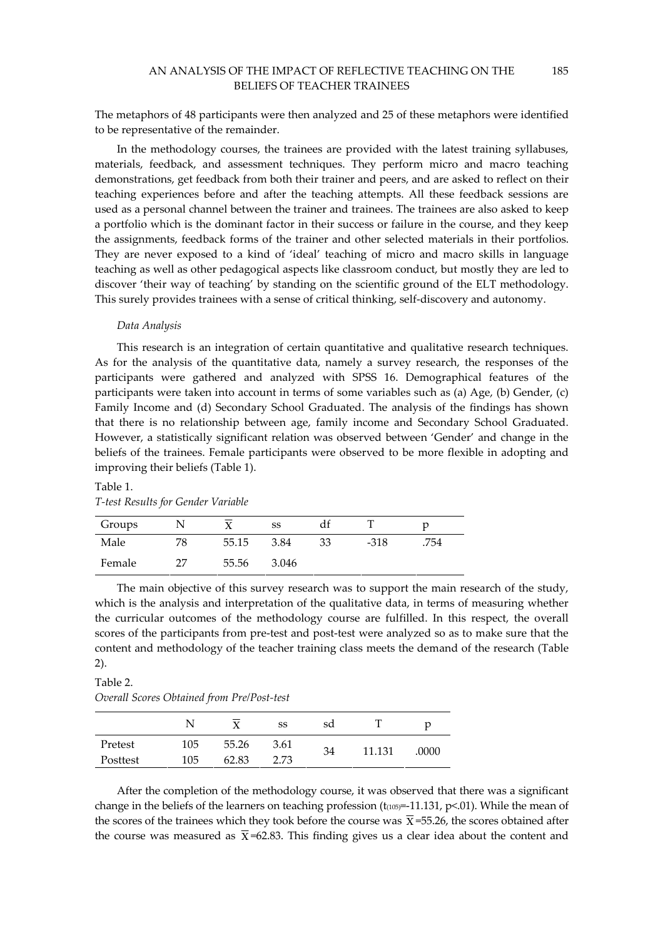The metaphors of 48 participants were then analyzed and 25 of these metaphors were identified to be representative of the remainder.

In the methodology courses, the trainees are provided with the latest training syllabuses, materials, feedback, and assessment techniques. They perform micro and macro teaching demonstrations, get feedback from both their trainer and peers, and are asked to reflect on their teaching experiences before and after the teaching attempts. All these feedback sessions are used as a personal channel between the trainer and trainees. The trainees are also asked to keep a portfolio which is the dominant factor in their success or failure in the course, and they keep the assignments, feedback forms of the trainer and other selected materials in their portfolios. They are never exposed to a kind of 'ideal' teaching of micro and macro skills in language teaching as well as other pedagogical aspects like classroom conduct, but mostly they are led to discover 'their way of teaching' by standing on the scientific ground of the ELT methodology. This surely provides trainees with a sense of critical thinking, self-discovery and autonomy.

### Data Analysis

This research is an integration of certain quantitative and qualitative research techniques. As for the analysis of the quantitative data, namely a survey research, the responses of the participants were gathered and analyzed with SPSS 16. Demographical features of the participants were taken into account in terms of some variables such as (a) Age, (b) Gender, (c) Family Income and (d) Secondary School Graduated. The analysis of the findings has shown that there is no relationship between age, family income and Secondary School Graduated. However, a statistically significant relation was observed between 'Gender' and change in the beliefs of the trainees. Female participants were observed to be more flexible in adopting and improving their beliefs (Table 1).

| $\sim$ . The state is the second that $\sim$ |    |       |       |    |        |      |  |
|----------------------------------------------|----|-------|-------|----|--------|------|--|
| Groups                                       |    |       | SS    | df |        |      |  |
| Male                                         | 78 | 55.15 | 3.84  | 33 | $-318$ | .754 |  |
| Female                                       | 27 | 55.56 | 3.046 |    |        |      |  |

### Table 1. T-test Results for Gender Variable

The main objective of this survey research was to support the main research of the study, which is the analysis and interpretation of the qualitative data, in terms of measuring whether the curricular outcomes of the methodology course are fulfilled. In this respect, the overall scores of the participants from pre-test and post-test were analyzed so as to make sure that the content and methodology of the teacher training class meets the demand of the research (Table 2).

## Table 2. Overall Scores Obtained from Pre/Post-test

|          |     | $\mathbf{x}$ | SS   | sd |        | р     |
|----------|-----|--------------|------|----|--------|-------|
| Pretest  | 105 | 55.26        | 3.61 | 34 | 11.131 | .0000 |
| Posttest | 105 | 62.83        | 2.73 |    |        |       |

After the completion of the methodology course, it was observed that there was a significant change in the beliefs of the learners on teaching profession  $(t_{(105)}=-11.131, p<.01)$ . While the mean of the scores of the trainees which they took before the course was  $\overline{X}$  =55.26, the scores obtained after the course was measured as  $\bar{x}$ =62.83. This finding gives us a clear idea about the content and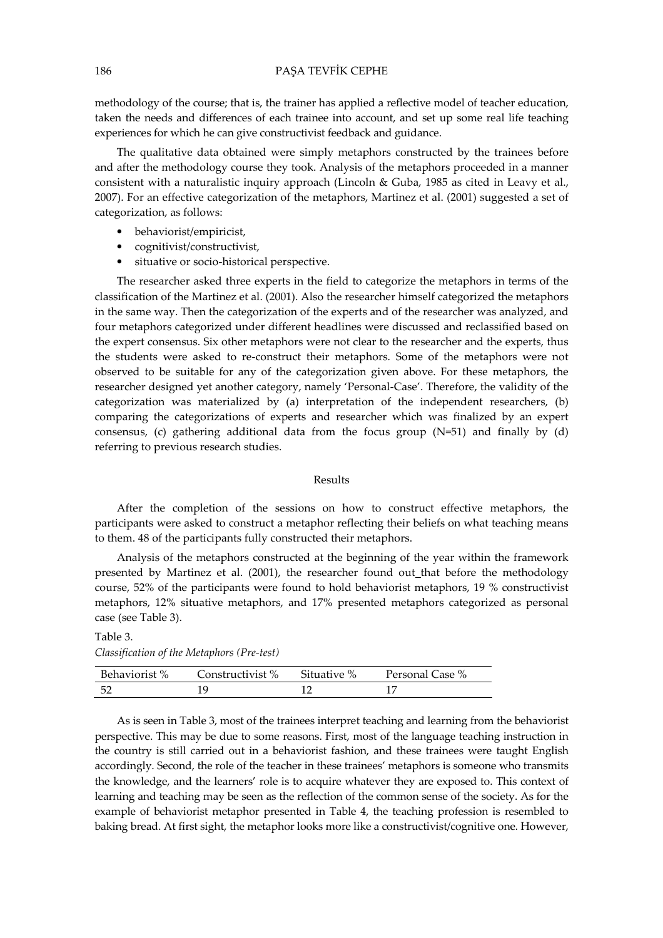methodology of the course; that is, the trainer has applied a reflective model of teacher education, taken the needs and differences of each trainee into account, and set up some real life teaching experiences for which he can give constructivist feedback and guidance.

The qualitative data obtained were simply metaphors constructed by the trainees before and after the methodology course they took. Analysis of the metaphors proceeded in a manner consistent with a naturalistic inquiry approach (Lincoln & Guba, 1985 as cited in Leavy et al., 2007). For an effective categorization of the metaphors, Martinez et al. (2001) suggested a set of categorization, as follows:

- behaviorist/empiricist,
- cognitivist/constructivist,
- situative or socio-historical perspective.

The researcher asked three experts in the field to categorize the metaphors in terms of the classification of the Martinez et al. (2001). Also the researcher himself categorized the metaphors in the same way. Then the categorization of the experts and of the researcher was analyzed, and four metaphors categorized under different headlines were discussed and reclassified based on the expert consensus. Six other metaphors were not clear to the researcher and the experts, thus the students were asked to re-construct their metaphors. Some of the metaphors were not observed to be suitable for any of the categorization given above. For these metaphors, the researcher designed yet another category, namely 'Personal-Case'. Therefore, the validity of the categorization was materialized by (a) interpretation of the independent researchers, (b) comparing the categorizations of experts and researcher which was finalized by an expert consensus, (c) gathering additional data from the focus group (N=51) and finally by (d) referring to previous research studies.

### Results

After the completion of the sessions on how to construct effective metaphors, the participants were asked to construct a metaphor reflecting their beliefs on what teaching means to them. 48 of the participants fully constructed their metaphors.

Analysis of the metaphors constructed at the beginning of the year within the framework presented by Martinez et al. (2001), the researcher found out\_that before the methodology course, 52% of the participants were found to hold behaviorist metaphors, 19 % constructivist metaphors, 12% situative metaphors, and 17% presented metaphors categorized as personal case (see Table 3).

### Table 3. Classification of the Metaphors (Pre-test)

| Behaviorist % | Constructivist % | Situative % | Personal Case % |
|---------------|------------------|-------------|-----------------|
| - 52          |                  |             |                 |

As is seen in Table 3, most of the trainees interpret teaching and learning from the behaviorist perspective. This may be due to some reasons. First, most of the language teaching instruction in the country is still carried out in a behaviorist fashion, and these trainees were taught English accordingly. Second, the role of the teacher in these trainees' metaphors is someone who transmits the knowledge, and the learners' role is to acquire whatever they are exposed to. This context of learning and teaching may be seen as the reflection of the common sense of the society. As for the example of behaviorist metaphor presented in Table 4, the teaching profession is resembled to baking bread. At first sight, the metaphor looks more like a constructivist/cognitive one. However,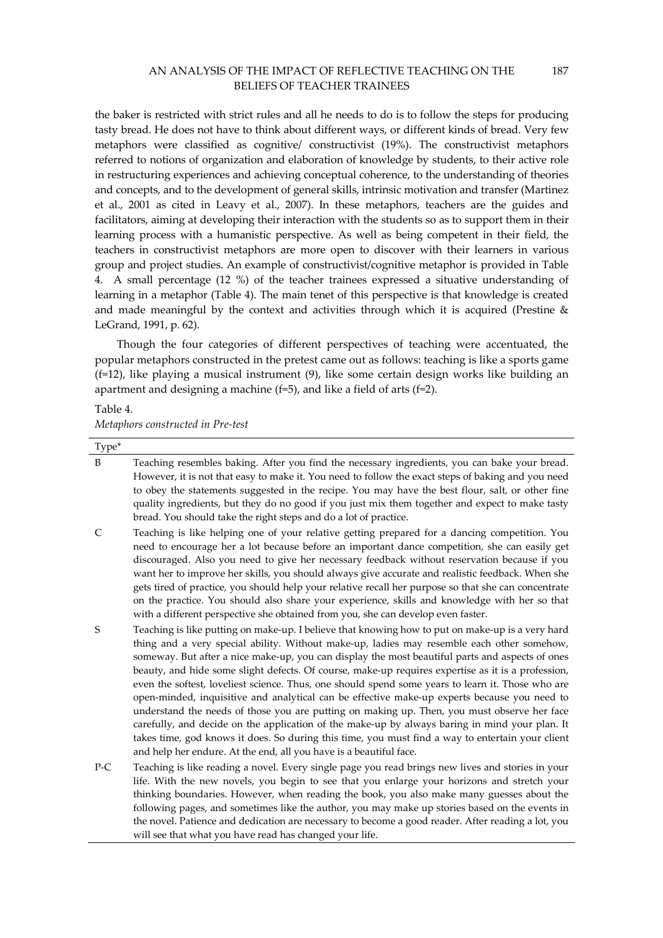187

the baker is restricted with strict rules and all he needs to do is to follow the steps for producing tasty bread. He does not have to think about different ways, or different kinds of bread. Very few metaphors were classified as cognitive/ constructivist (19%). The constructivist metaphors referred to notions of organization and elaboration of knowledge by students, to their active role in restructuring experiences and achieving conceptual coherence, to the understanding of theories and concepts, and to the development of general skills, intrinsic motivation and transfer (Martinez et al., 2001 as cited in Leavy et al., 2007). In these metaphors, teachers are the guides and facilitators, aiming at developing their interaction with the students so as to support them in their learning process with a humanistic perspective. As well as being competent in their field, the teachers in constructivist metaphors are more open to discover with their learners in various group and project studies. An example of constructivist/cognitive metaphor is provided in Table 4. A small percentage (12 %) of the teacher trainees expressed a situative understanding of learning in a metaphor (Table 4). The main tenet of this perspective is that knowledge is created and made meaningful by the context and activities through which it is acquired (Prestine & LeGrand, 1991, p. 62).

Though the four categories of different perspectives of teaching were accentuated, the popular metaphors constructed in the pretest came out as follows: teaching is like a sports game (f=12), like playing a musical instrument (9), like some certain design works like building an apartment and designing a machine (f=5), and like a field of arts (f=2).

### Table 4.

Metaphors constructed in Pre-test

| Type* |                                                                                                                                                                                                                                                                                                                                                                                                                                                                                                                                                                                                                                                                                                                                                                                                                                                                                                                                                                                         |
|-------|-----------------------------------------------------------------------------------------------------------------------------------------------------------------------------------------------------------------------------------------------------------------------------------------------------------------------------------------------------------------------------------------------------------------------------------------------------------------------------------------------------------------------------------------------------------------------------------------------------------------------------------------------------------------------------------------------------------------------------------------------------------------------------------------------------------------------------------------------------------------------------------------------------------------------------------------------------------------------------------------|
| B     | Teaching resembles baking. After you find the necessary ingredients, you can bake your bread.<br>However, it is not that easy to make it. You need to follow the exact steps of baking and you need<br>to obey the statements suggested in the recipe. You may have the best flour, salt, or other fine<br>quality ingredients, but they do no good if you just mix them together and expect to make tasty<br>bread. You should take the right steps and do a lot of practice.                                                                                                                                                                                                                                                                                                                                                                                                                                                                                                          |
| C     | Teaching is like helping one of your relative getting prepared for a dancing competition. You<br>need to encourage her a lot because before an important dance competition, she can easily get<br>discouraged. Also you need to give her necessary feedback without reservation because if you<br>want her to improve her skills, you should always give accurate and realistic feedback. When she<br>gets tired of practice, you should help your relative recall her purpose so that she can concentrate<br>on the practice. You should also share your experience, skills and knowledge with her so that<br>with a different perspective she obtained from you, she can develop even faster.                                                                                                                                                                                                                                                                                         |
| S     | Teaching is like putting on make-up. I believe that knowing how to put on make-up is a very hard<br>thing and a very special ability. Without make-up, ladies may resemble each other somehow,<br>someway. But after a nice make-up, you can display the most beautiful parts and aspects of ones<br>beauty, and hide some slight defects. Of course, make-up requires expertise as it is a profession,<br>even the softest, loveliest science. Thus, one should spend some years to learn it. Those who are<br>open-minded, inquisitive and analytical can be effective make-up experts because you need to<br>understand the needs of those you are putting on making up. Then, you must observe her face<br>carefully, and decide on the application of the make-up by always baring in mind your plan. It<br>takes time, god knows it does. So during this time, you must find a way to entertain your client<br>and help her endure. At the end, all you have is a beautiful face. |
| $P-C$ | Teaching is like reading a novel. Every single page you read brings new lives and stories in your<br>life. With the new novels, you begin to see that you enlarge your horizons and stretch your<br>thinking boundaries. However, when reading the book, you also make many guesses about the<br>following pages, and sometimes like the author, you may make up stories based on the events in                                                                                                                                                                                                                                                                                                                                                                                                                                                                                                                                                                                         |

the novel. Patience and dedication are necessary to become a good reader. After reading a lot, you

will see that what you have read has changed your life.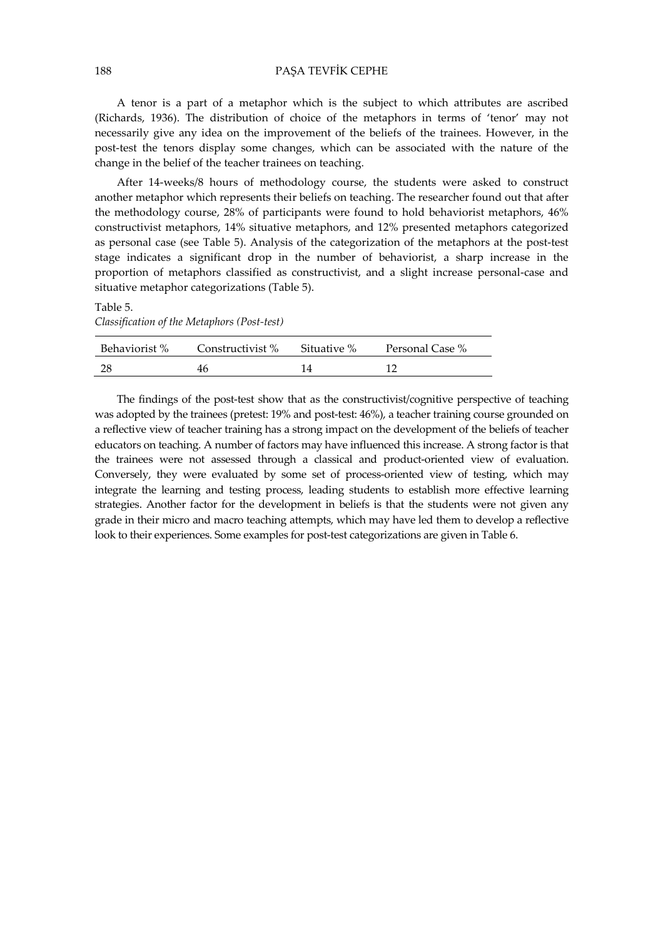A tenor is a part of a metaphor which is the subject to which attributes are ascribed (Richards, 1936). The distribution of choice of the metaphors in terms of 'tenor' may not necessarily give any idea on the improvement of the beliefs of the trainees. However, in the post-test the tenors display some changes, which can be associated with the nature of the change in the belief of the teacher trainees on teaching.

After 14-weeks/8 hours of methodology course, the students were asked to construct another metaphor which represents their beliefs on teaching. The researcher found out that after the methodology course, 28% of participants were found to hold behaviorist metaphors, 46% constructivist metaphors, 14% situative metaphors, and 12% presented metaphors categorized as personal case (see Table 5). Analysis of the categorization of the metaphors at the post-test stage indicates a significant drop in the number of behaviorist, a sharp increase in the proportion of metaphors classified as constructivist, and a slight increase personal-case and situative metaphor categorizations (Table 5).

#### Table 5.

Classification of the Metaphors (Post-test)

| Behaviorist % | Constructivist % | Situative % | Personal Case % |
|---------------|------------------|-------------|-----------------|
| -28           |                  |             |                 |

The findings of the post-test show that as the constructivist/cognitive perspective of teaching was adopted by the trainees (pretest: 19% and post-test: 46%), a teacher training course grounded on a reflective view of teacher training has a strong impact on the development of the beliefs of teacher educators on teaching. A number of factors may have influenced this increase. A strong factor is that the trainees were not assessed through a classical and product-oriented view of evaluation. Conversely, they were evaluated by some set of process-oriented view of testing, which may integrate the learning and testing process, leading students to establish more effective learning strategies. Another factor for the development in beliefs is that the students were not given any grade in their micro and macro teaching attempts, which may have led them to develop a reflective look to their experiences. Some examples for post-test categorizations are given in Table 6.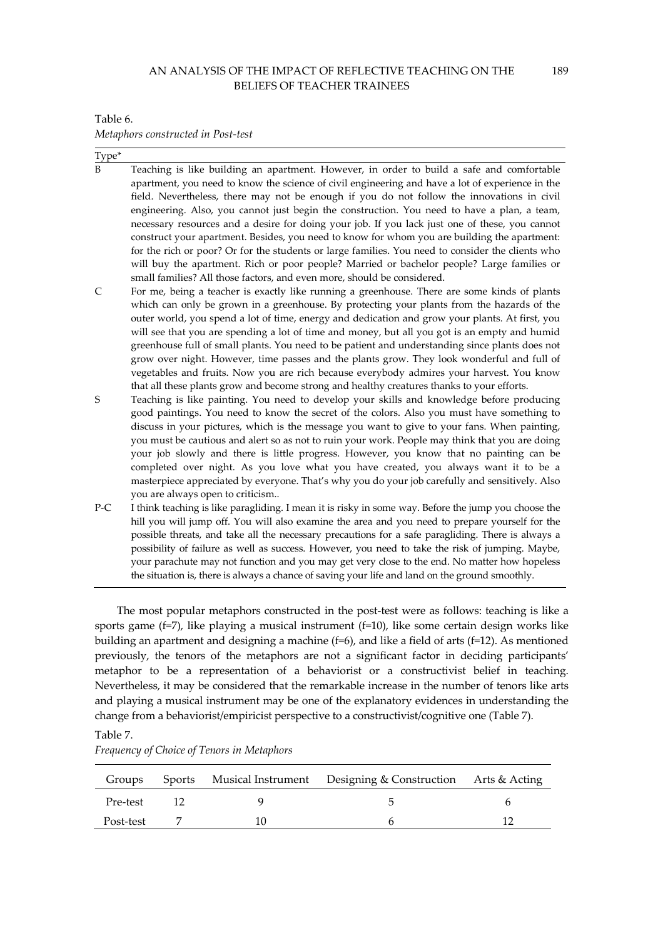Table 6.

Metaphors constructed in Post-test

| Type* |                                                                                                                                                                                                                                                                                                                                                                                                                                                                                                                                                                                                                                                                                                                                                                                                                                                                            |
|-------|----------------------------------------------------------------------------------------------------------------------------------------------------------------------------------------------------------------------------------------------------------------------------------------------------------------------------------------------------------------------------------------------------------------------------------------------------------------------------------------------------------------------------------------------------------------------------------------------------------------------------------------------------------------------------------------------------------------------------------------------------------------------------------------------------------------------------------------------------------------------------|
|       | Teaching is like building an apartment. However, in order to build a safe and comfortable<br>apartment, you need to know the science of civil engineering and have a lot of experience in the<br>field. Nevertheless, there may not be enough if you do not follow the innovations in civil<br>engineering. Also, you cannot just begin the construction. You need to have a plan, a team,<br>necessary resources and a desire for doing your job. If you lack just one of these, you cannot<br>construct your apartment. Besides, you need to know for whom you are building the apartment:<br>for the rich or poor? Or for the students or large families. You need to consider the clients who<br>will buy the apartment. Rich or poor people? Married or bachelor people? Large families or<br>small families? All those factors, and even more, should be considered. |
| C     | For me, being a teacher is exactly like running a greenhouse. There are some kinds of plants<br>which can only be grown in a greenhouse. By protecting your plants from the hazards of the<br>outer world, you spend a lot of time, energy and dedication and grow your plants. At first, you<br>will see that you are spending a lot of time and money, but all you got is an empty and humid<br>greenhouse full of small plants. You need to be patient and understanding since plants does not<br>grow over night. However, time passes and the plants grow. They look wonderful and full of<br>vegetables and fruits. Now you are rich because everybody admires your harvest. You know<br>that all these plants grow and become strong and healthy creatures thanks to your efforts.                                                                                  |
| S     | Teaching is like painting. You need to develop your skills and knowledge before producing<br>good paintings. You need to know the secret of the colors. Also you must have something to<br>discuss in your pictures, which is the message you want to give to your fans. When painting,<br>you must be cautious and alert so as not to ruin your work. People may think that you are doing<br>your job slowly and there is little progress. However, you know that no painting can be<br>completed over night. As you love what you have created, you always want it to be a<br>masterpiece appreciated by everyone. That's why you do your job carefully and sensitively. Also                                                                                                                                                                                            |
| P-C   | I think teaching is like paragliding. I mean it is risky in some way. Before the jump you choose the<br>hill you will jump off. You will also examine the area and you need to prepare yourself for the<br>possible threats, and take all the necessary precautions for a safe paragliding. There is always a<br>possibility of failure as well as success. However, you need to take the risk of jumping. Maybe,<br>your parachute may not function and you may get very close to the end. No matter how hopeless<br>the situation is, there is always a chance of saving your life and land on the ground smoothly.                                                                                                                                                                                                                                                      |
|       | you are always open to criticism                                                                                                                                                                                                                                                                                                                                                                                                                                                                                                                                                                                                                                                                                                                                                                                                                                           |

The most popular metaphors constructed in the post-test were as follows: teaching is like a sports game (f=7), like playing a musical instrument (f=10), like some certain design works like building an apartment and designing a machine (f=6), and like a field of arts (f=12). As mentioned previously, the tenors of the metaphors are not a significant factor in deciding participants' metaphor to be a representation of a behaviorist or a constructivist belief in teaching. Nevertheless, it may be considered that the remarkable increase in the number of tenors like arts and playing a musical instrument may be one of the explanatory evidences in understanding the change from a behaviorist/empiricist perspective to a constructivist/cognitive one (Table 7).

### Table 7.

| Groups    |  | Sports Musical Instrument Designing & Construction Arts & Acting |  |
|-----------|--|------------------------------------------------------------------|--|
| Pre-test  |  |                                                                  |  |
| Post-test |  |                                                                  |  |

Frequency of Choice of Tenors in Metaphors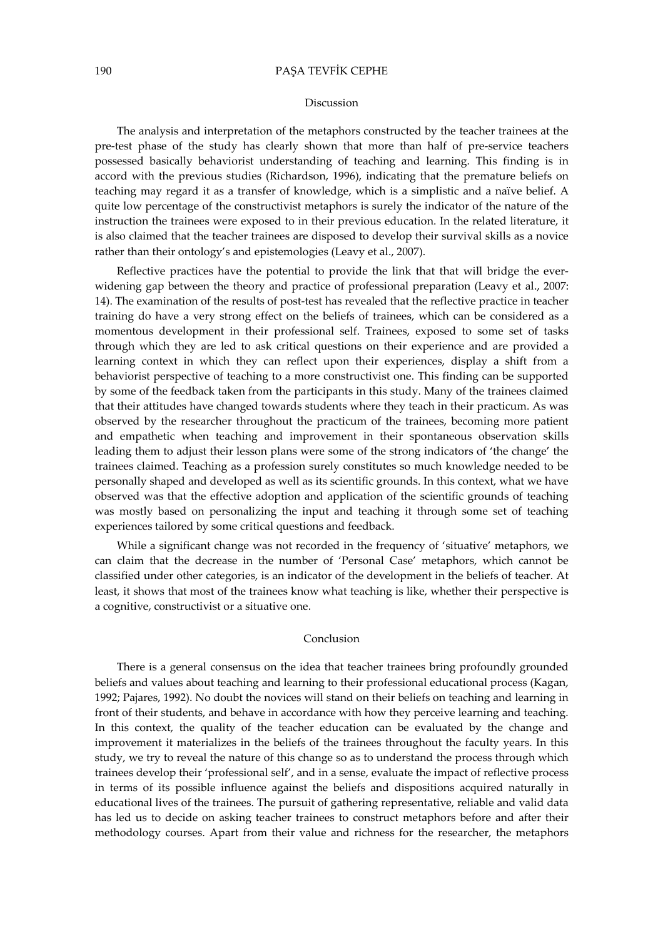### 190 PAŞA TEVFİK CEPHE

#### Discussion

The analysis and interpretation of the metaphors constructed by the teacher trainees at the pre-test phase of the study has clearly shown that more than half of pre-service teachers possessed basically behaviorist understanding of teaching and learning. This finding is in accord with the previous studies (Richardson, 1996), indicating that the premature beliefs on teaching may regard it as a transfer of knowledge, which is a simplistic and a naïve belief. A quite low percentage of the constructivist metaphors is surely the indicator of the nature of the instruction the trainees were exposed to in their previous education. In the related literature, it is also claimed that the teacher trainees are disposed to develop their survival skills as a novice rather than their ontology's and epistemologies (Leavy et al., 2007).

Reflective practices have the potential to provide the link that that will bridge the everwidening gap between the theory and practice of professional preparation (Leavy et al., 2007: 14). The examination of the results of post-test has revealed that the reflective practice in teacher training do have a very strong effect on the beliefs of trainees, which can be considered as a momentous development in their professional self. Trainees, exposed to some set of tasks through which they are led to ask critical questions on their experience and are provided a learning context in which they can reflect upon their experiences, display a shift from a behaviorist perspective of teaching to a more constructivist one. This finding can be supported by some of the feedback taken from the participants in this study. Many of the trainees claimed that their attitudes have changed towards students where they teach in their practicum. As was observed by the researcher throughout the practicum of the trainees, becoming more patient and empathetic when teaching and improvement in their spontaneous observation skills leading them to adjust their lesson plans were some of the strong indicators of 'the change' the trainees claimed. Teaching as a profession surely constitutes so much knowledge needed to be personally shaped and developed as well as its scientific grounds. In this context, what we have observed was that the effective adoption and application of the scientific grounds of teaching was mostly based on personalizing the input and teaching it through some set of teaching experiences tailored by some critical questions and feedback.

While a significant change was not recorded in the frequency of 'situative' metaphors, we can claim that the decrease in the number of 'Personal Case' metaphors, which cannot be classified under other categories, is an indicator of the development in the beliefs of teacher. At least, it shows that most of the trainees know what teaching is like, whether their perspective is a cognitive, constructivist or a situative one.

### Conclusion

There is a general consensus on the idea that teacher trainees bring profoundly grounded beliefs and values about teaching and learning to their professional educational process (Kagan, 1992; Pajares, 1992). No doubt the novices will stand on their beliefs on teaching and learning in front of their students, and behave in accordance with how they perceive learning and teaching. In this context, the quality of the teacher education can be evaluated by the change and improvement it materializes in the beliefs of the trainees throughout the faculty years. In this study, we try to reveal the nature of this change so as to understand the process through which trainees develop their 'professional self', and in a sense, evaluate the impact of reflective process in terms of its possible influence against the beliefs and dispositions acquired naturally in educational lives of the trainees. The pursuit of gathering representative, reliable and valid data has led us to decide on asking teacher trainees to construct metaphors before and after their methodology courses. Apart from their value and richness for the researcher, the metaphors